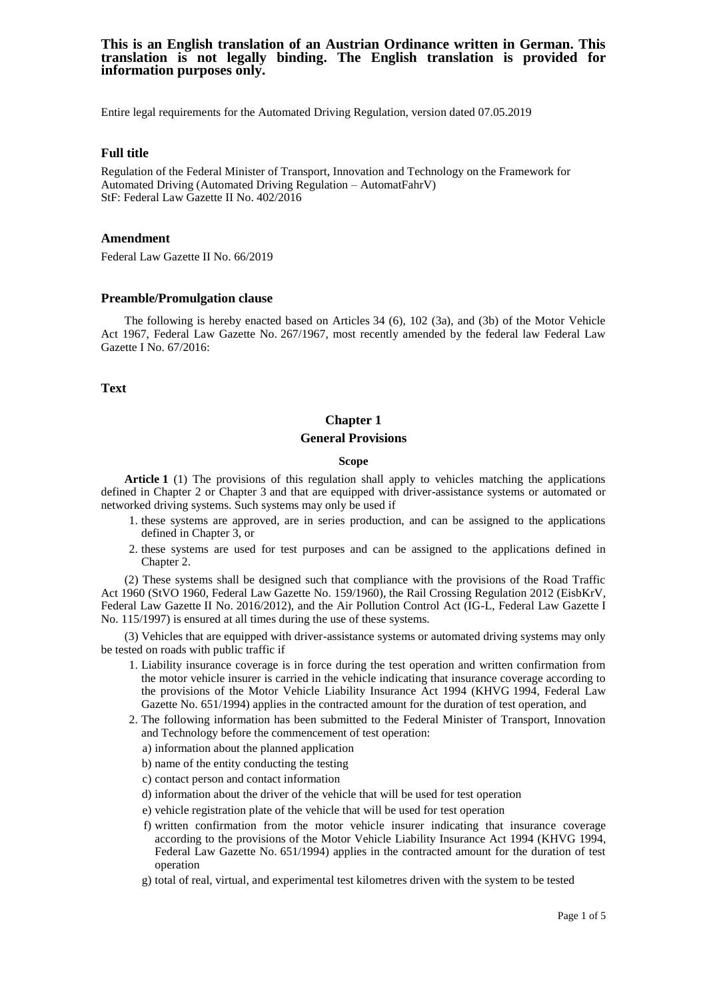Entire legal requirements for the Automated Driving Regulation, version dated 07.05.2019

## **Full title**

Regulation of the Federal Minister of Transport, Innovation and Technology on the Framework for Automated Driving (Automated Driving Regulation – AutomatFahrV) StF: Federal Law Gazette II No. 402/2016

### **Amendment**

Federal Law Gazette II No. 66/2019

### **Preamble/Promulgation clause**

The following is hereby enacted based on Articles 34 (6), 102 (3a), and (3b) of the Motor Vehicle Act 1967, Federal Law Gazette No. 267/1967, most recently amended by the federal law Federal Law Gazette I No. 67/2016:

**Text**

# **Chapter 1 General Provisions**

### **Scope**

**Article 1** (1) The provisions of this regulation shall apply to vehicles matching the applications defined in Chapter 2 or Chapter 3 and that are equipped with driver-assistance systems or automated or networked driving systems. Such systems may only be used if

- 1. these systems are approved, are in series production, and can be assigned to the applications defined in Chapter 3, or
- 2. these systems are used for test purposes and can be assigned to the applications defined in Chapter 2.

(2) These systems shall be designed such that compliance with the provisions of the Road Traffic Act 1960 (StVO 1960, Federal Law Gazette No. 159/1960), the Rail Crossing Regulation 2012 (EisbKrV, Federal Law Gazette II No. 2016/2012), and the Air Pollution Control Act (IG-L, Federal Law Gazette I No. 115/1997) is ensured at all times during the use of these systems.

(3) Vehicles that are equipped with driver-assistance systems or automated driving systems may only be tested on roads with public traffic if

- 1. Liability insurance coverage is in force during the test operation and written confirmation from the motor vehicle insurer is carried in the vehicle indicating that insurance coverage according to the provisions of the Motor Vehicle Liability Insurance Act 1994 (KHVG 1994, Federal Law Gazette No. 651/1994) applies in the contracted amount for the duration of test operation, and
- 2. The following information has been submitted to the Federal Minister of Transport, Innovation and Technology before the commencement of test operation:
	- a) information about the planned application
	- b) name of the entity conducting the testing
	- c) contact person and contact information
	- d) information about the driver of the vehicle that will be used for test operation
	- e) vehicle registration plate of the vehicle that will be used for test operation
	- f) written confirmation from the motor vehicle insurer indicating that insurance coverage according to the provisions of the Motor Vehicle Liability Insurance Act 1994 (KHVG 1994, Federal Law Gazette No. 651/1994) applies in the contracted amount for the duration of test operation
	- g) total of real, virtual, and experimental test kilometres driven with the system to be tested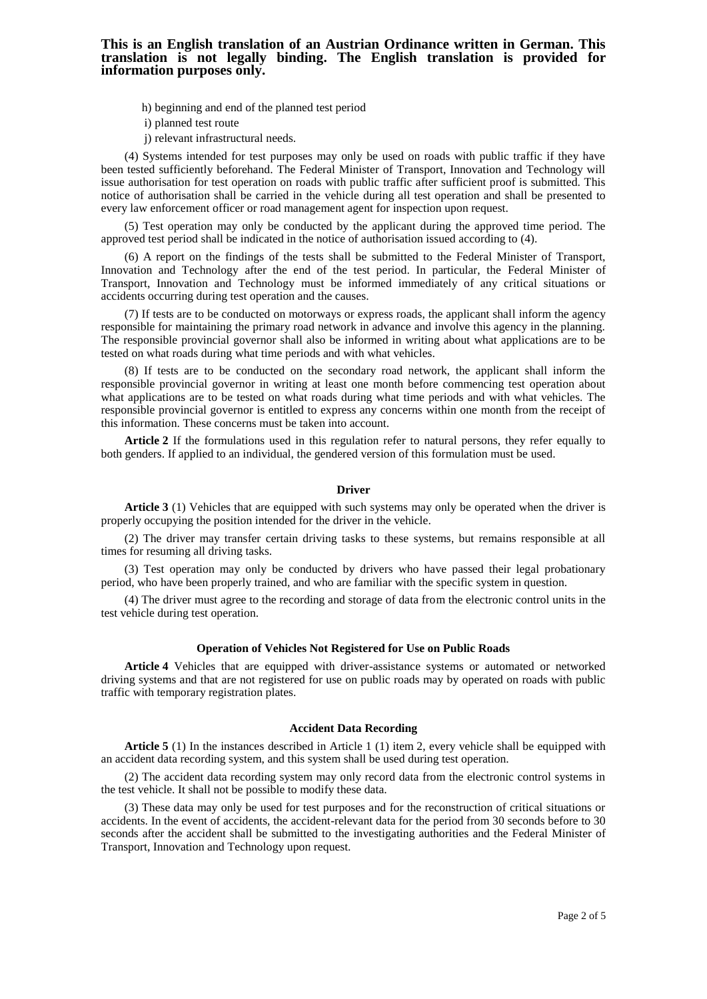- h) beginning and end of the planned test period
- i) planned test route
- j) relevant infrastructural needs.

(4) Systems intended for test purposes may only be used on roads with public traffic if they have been tested sufficiently beforehand. The Federal Minister of Transport, Innovation and Technology will issue authorisation for test operation on roads with public traffic after sufficient proof is submitted. This notice of authorisation shall be carried in the vehicle during all test operation and shall be presented to every law enforcement officer or road management agent for inspection upon request.

(5) Test operation may only be conducted by the applicant during the approved time period. The approved test period shall be indicated in the notice of authorisation issued according to (4).

(6) A report on the findings of the tests shall be submitted to the Federal Minister of Transport, Innovation and Technology after the end of the test period. In particular, the Federal Minister of Transport, Innovation and Technology must be informed immediately of any critical situations or accidents occurring during test operation and the causes.

(7) If tests are to be conducted on motorways or express roads, the applicant shall inform the agency responsible for maintaining the primary road network in advance and involve this agency in the planning. The responsible provincial governor shall also be informed in writing about what applications are to be tested on what roads during what time periods and with what vehicles.

(8) If tests are to be conducted on the secondary road network, the applicant shall inform the responsible provincial governor in writing at least one month before commencing test operation about what applications are to be tested on what roads during what time periods and with what vehicles. The responsible provincial governor is entitled to express any concerns within one month from the receipt of this information. These concerns must be taken into account.

**Article 2** If the formulations used in this regulation refer to natural persons, they refer equally to both genders. If applied to an individual, the gendered version of this formulation must be used.

#### **Driver**

**Article 3** (1) Vehicles that are equipped with such systems may only be operated when the driver is properly occupying the position intended for the driver in the vehicle.

(2) The driver may transfer certain driving tasks to these systems, but remains responsible at all times for resuming all driving tasks.

(3) Test operation may only be conducted by drivers who have passed their legal probationary period, who have been properly trained, and who are familiar with the specific system in question.

(4) The driver must agree to the recording and storage of data from the electronic control units in the test vehicle during test operation.

### **Operation of Vehicles Not Registered for Use on Public Roads**

**Article 4** Vehicles that are equipped with driver-assistance systems or automated or networked driving systems and that are not registered for use on public roads may by operated on roads with public traffic with temporary registration plates.

### **Accident Data Recording**

**Article 5** (1) In the instances described in Article 1 (1) item 2, every vehicle shall be equipped with an accident data recording system, and this system shall be used during test operation.

(2) The accident data recording system may only record data from the electronic control systems in the test vehicle. It shall not be possible to modify these data.

(3) These data may only be used for test purposes and for the reconstruction of critical situations or accidents. In the event of accidents, the accident-relevant data for the period from 30 seconds before to 30 seconds after the accident shall be submitted to the investigating authorities and the Federal Minister of Transport, Innovation and Technology upon request.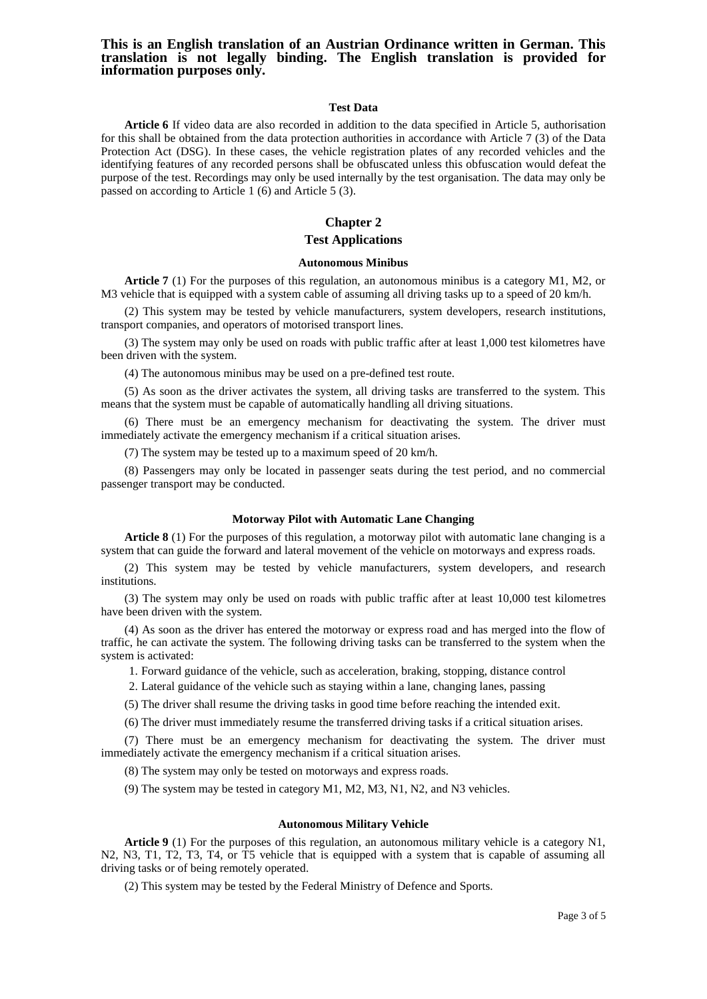#### **Test Data**

**Article 6** If video data are also recorded in addition to the data specified in Article 5, authorisation for this shall be obtained from the data protection authorities in accordance with Article 7 (3) of the Data Protection Act (DSG). In these cases, the vehicle registration plates of any recorded vehicles and the identifying features of any recorded persons shall be obfuscated unless this obfuscation would defeat the purpose of the test. Recordings may only be used internally by the test organisation. The data may only be passed on according to Article 1 (6) and Article 5 (3).

# **Chapter 2**

# **Test Applications**

#### **Autonomous Minibus**

**Article 7** (1) For the purposes of this regulation, an autonomous minibus is a category M1, M2, or M3 vehicle that is equipped with a system cable of assuming all driving tasks up to a speed of 20 km/h.

(2) This system may be tested by vehicle manufacturers, system developers, research institutions, transport companies, and operators of motorised transport lines.

(3) The system may only be used on roads with public traffic after at least 1,000 test kilometres have been driven with the system.

(4) The autonomous minibus may be used on a pre-defined test route.

(5) As soon as the driver activates the system, all driving tasks are transferred to the system. This means that the system must be capable of automatically handling all driving situations.

(6) There must be an emergency mechanism for deactivating the system. The driver must immediately activate the emergency mechanism if a critical situation arises.

(7) The system may be tested up to a maximum speed of 20 km/h.

(8) Passengers may only be located in passenger seats during the test period, and no commercial passenger transport may be conducted.

#### **Motorway Pilot with Automatic Lane Changing**

**Article 8** (1) For the purposes of this regulation, a motorway pilot with automatic lane changing is a system that can guide the forward and lateral movement of the vehicle on motorways and express roads.

(2) This system may be tested by vehicle manufacturers, system developers, and research institutions.

(3) The system may only be used on roads with public traffic after at least 10,000 test kilometres have been driven with the system.

(4) As soon as the driver has entered the motorway or express road and has merged into the flow of traffic, he can activate the system. The following driving tasks can be transferred to the system when the system is activated:

1. Forward guidance of the vehicle, such as acceleration, braking, stopping, distance control

2. Lateral guidance of the vehicle such as staying within a lane, changing lanes, passing

(5) The driver shall resume the driving tasks in good time before reaching the intended exit.

(6) The driver must immediately resume the transferred driving tasks if a critical situation arises.

(7) There must be an emergency mechanism for deactivating the system. The driver must immediately activate the emergency mechanism if a critical situation arises.

(8) The system may only be tested on motorways and express roads.

(9) The system may be tested in category M1, M2, M3, N1, N2, and N3 vehicles.

#### **Autonomous Military Vehicle**

**Article 9** (1) For the purposes of this regulation, an autonomous military vehicle is a category N1, N2, N3, T1, T2, T3, T4, or T5 vehicle that is equipped with a system that is capable of assuming all driving tasks or of being remotely operated.

(2) This system may be tested by the Federal Ministry of Defence and Sports.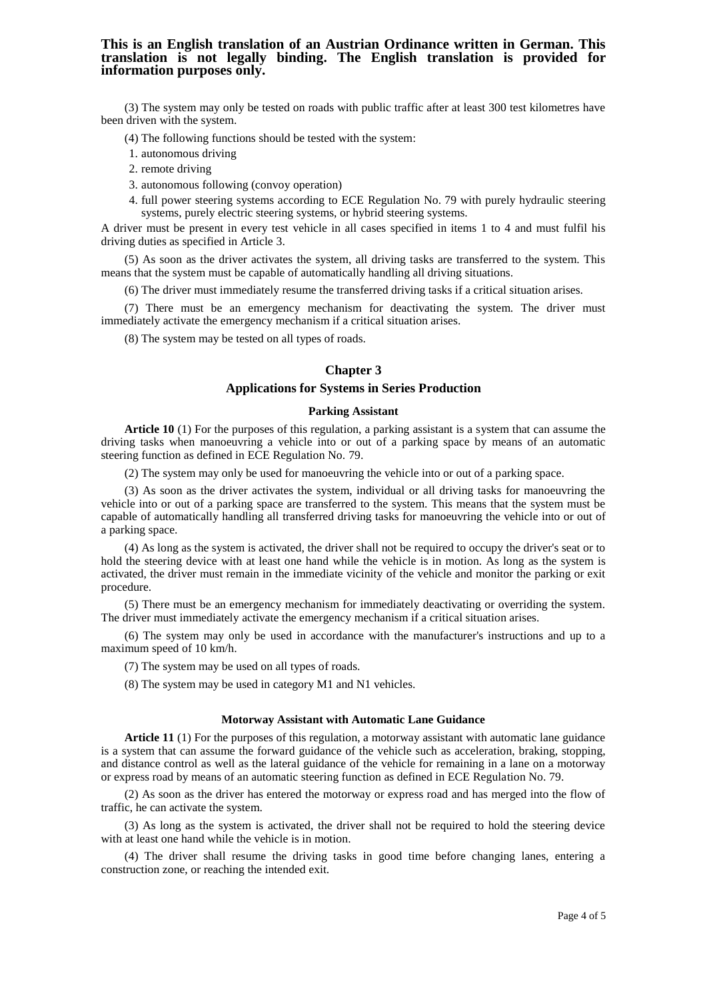(3) The system may only be tested on roads with public traffic after at least 300 test kilometres have been driven with the system.

(4) The following functions should be tested with the system:

- 1. autonomous driving
- 2. remote driving
- 3. autonomous following (convoy operation)
- 4. full power steering systems according to ECE Regulation No. 79 with purely hydraulic steering systems, purely electric steering systems, or hybrid steering systems.

A driver must be present in every test vehicle in all cases specified in items 1 to 4 and must fulfil his driving duties as specified in Article 3.

(5) As soon as the driver activates the system, all driving tasks are transferred to the system. This means that the system must be capable of automatically handling all driving situations.

(6) The driver must immediately resume the transferred driving tasks if a critical situation arises.

(7) There must be an emergency mechanism for deactivating the system. The driver must immediately activate the emergency mechanism if a critical situation arises.

(8) The system may be tested on all types of roads.

### **Chapter 3**

# **Applications for Systems in Series Production**

#### **Parking Assistant**

**Article 10** (1) For the purposes of this regulation, a parking assistant is a system that can assume the driving tasks when manoeuvring a vehicle into or out of a parking space by means of an automatic steering function as defined in ECE Regulation No. 79.

(2) The system may only be used for manoeuvring the vehicle into or out of a parking space.

(3) As soon as the driver activates the system, individual or all driving tasks for manoeuvring the vehicle into or out of a parking space are transferred to the system. This means that the system must be capable of automatically handling all transferred driving tasks for manoeuvring the vehicle into or out of a parking space.

(4) As long as the system is activated, the driver shall not be required to occupy the driver's seat or to hold the steering device with at least one hand while the vehicle is in motion. As long as the system is activated, the driver must remain in the immediate vicinity of the vehicle and monitor the parking or exit procedure.

(5) There must be an emergency mechanism for immediately deactivating or overriding the system. The driver must immediately activate the emergency mechanism if a critical situation arises.

(6) The system may only be used in accordance with the manufacturer's instructions and up to a maximum speed of 10 km/h.

(7) The system may be used on all types of roads.

(8) The system may be used in category M1 and N1 vehicles.

### **Motorway Assistant with Automatic Lane Guidance**

**Article 11** (1) For the purposes of this regulation, a motorway assistant with automatic lane guidance is a system that can assume the forward guidance of the vehicle such as acceleration, braking, stopping, and distance control as well as the lateral guidance of the vehicle for remaining in a lane on a motorway or express road by means of an automatic steering function as defined in ECE Regulation No. 79.

(2) As soon as the driver has entered the motorway or express road and has merged into the flow of traffic, he can activate the system.

(3) As long as the system is activated, the driver shall not be required to hold the steering device with at least one hand while the vehicle is in motion.

(4) The driver shall resume the driving tasks in good time before changing lanes, entering a construction zone, or reaching the intended exit.